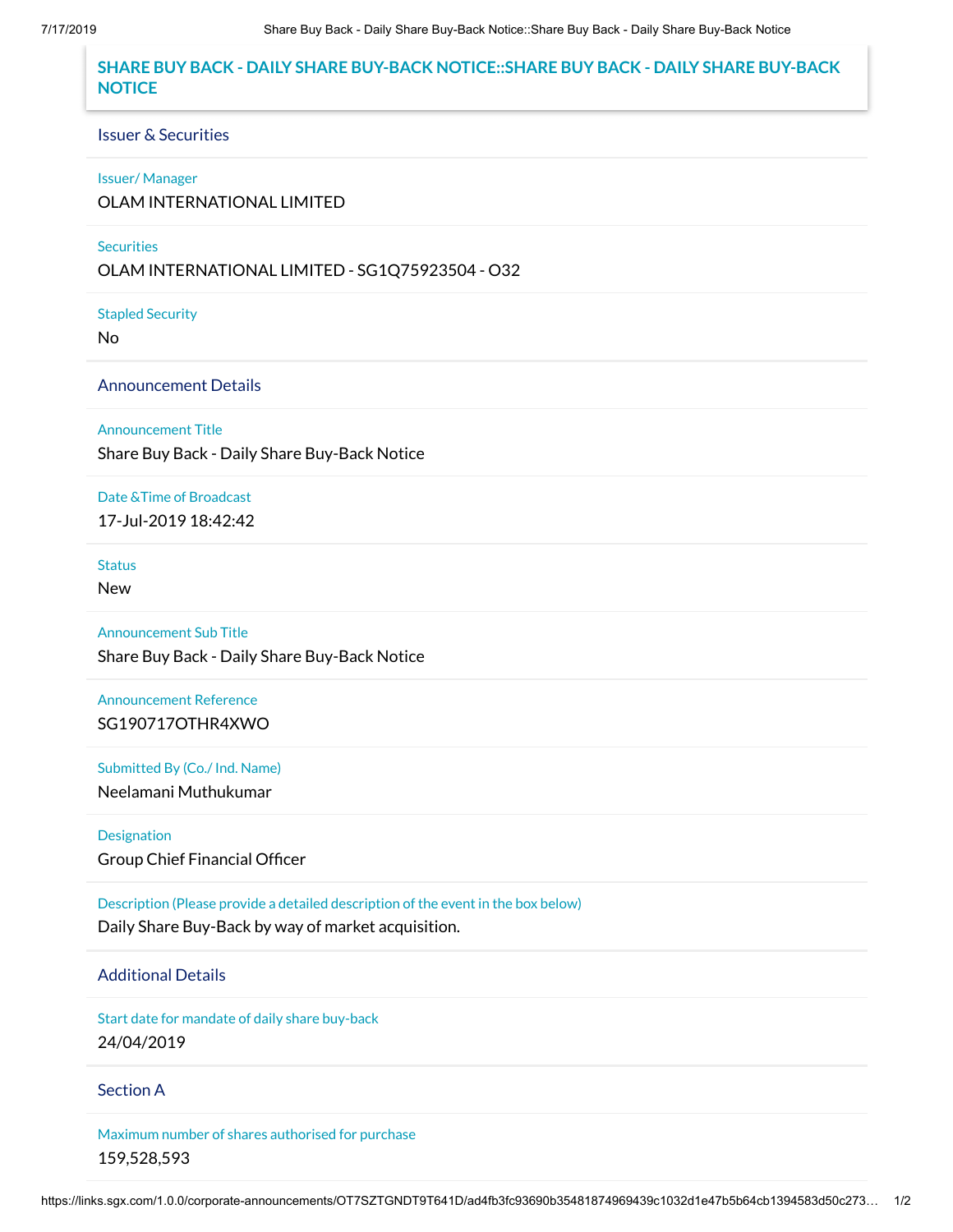# **SHARE BUY BACK - DAILY SHARE BUY-BACK NOTICE::SHARE BUY BACK - DAILY SHARE BUY-BACK NOTICE**

#### Issuer & Securities

#### Issuer/ Manager

OLAM INTERNATIONAL LIMITED

### **Securities**

OLAM INTERNATIONAL LIMITED - SG1Q75923504 - O32

Stapled Security

No

Announcement Details

Announcement Title

Share Buy Back - Daily Share Buy-Back Notice

Date &Time of Broadcast 17-Jul-2019 18:42:42

**Status** 

New

Announcement Sub Title Share Buy Back - Daily Share Buy-Back Notice

Announcement Reference SG190717OTHR4XWO

Submitted By (Co./ Ind. Name) Neelamani Muthukumar

Designation Group Chief Financial Officer

Description (Please provide a detailed description of the event in the box below) Daily Share Buy-Back by way of market acquisition.

## Additional Details

Start date for mandate of daily share buy-back 24/04/2019

Section A

Maximum number of shares authorised for purchase 159,528,593